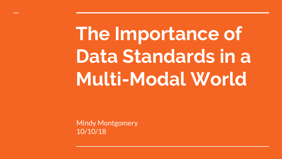# **The Importance of Data Standards in a Multi-Modal World**

Mindy Montgomery 10/10/18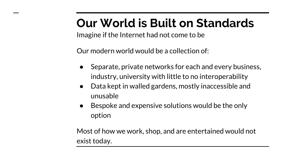## **Our World is Built on Standards**

Imagine if the Internet had not come to be

Our modern world would be a collection of:

- Separate, private networks for each and every business, industry, university with little to no interoperability
- Data kept in walled gardens, mostly inaccessible and unusable
- Bespoke and expensive solutions would be the only option

Most of how we work, shop, and are entertained would not exist today.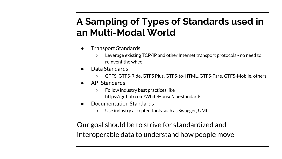#### **A Sampling of Types of Standards used in an Multi-Modal World**

- Transport Standards
	- Leverage existing TCP/IP and other Internet transport protocols no need to reinvent the wheel
- Data Standards
	- GTFS, GTFS-Ride, GTFS Plus, GTFS-to-HTML, GTFS-Fare, GTFS-Mobile, others
- API Standards
	- Follow industry best practices like https://github.com/WhiteHouse/api-standards
- Documentation Standards
	- Use industry accepted tools such as Swagger, UML

Our goal should be to strive for standardized and interoperable data to understand how people move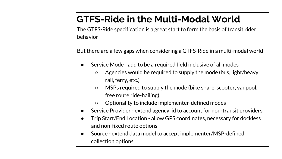#### **GTFS-Ride in the Multi-Modal World**

The GTFS-Ride specification is a great start to form the basis of transit rider behavior

But there are a few gaps when considering a GTFS-Ride in a multi-modal world

- Service Mode add to be a required field inclusive of all modes
	- $\circ$  Agencies would be required to supply the mode (bus, light/heavy rail, ferry, etc.)
	- MSPs required to supply the mode (bike share, scooter, vanpool, free route ride-hailing)
	- Optionality to include implementer-defined modes
- Service Provider extend agency id to account for non-transit providers
- Trip Start/End Location allow GPS coordinates, necessary for dockless and non-fixed route options
- Source extend data model to accept implementer/MSP-defined collection options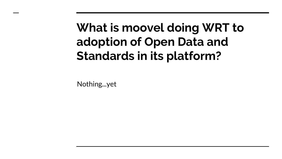### **What is moovel doing WRT to adoption of Open Data and Standards in its platform?**

Nothing...yet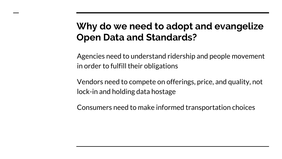#### **Why do we need to adopt and evangelize Open Data and Standards?**

Agencies need to understand ridership and people movement in order to fulfill their obligations

Vendors need to compete on offerings, price, and quality, not lock-in and holding data hostage

Consumers need to make informed transportation choices